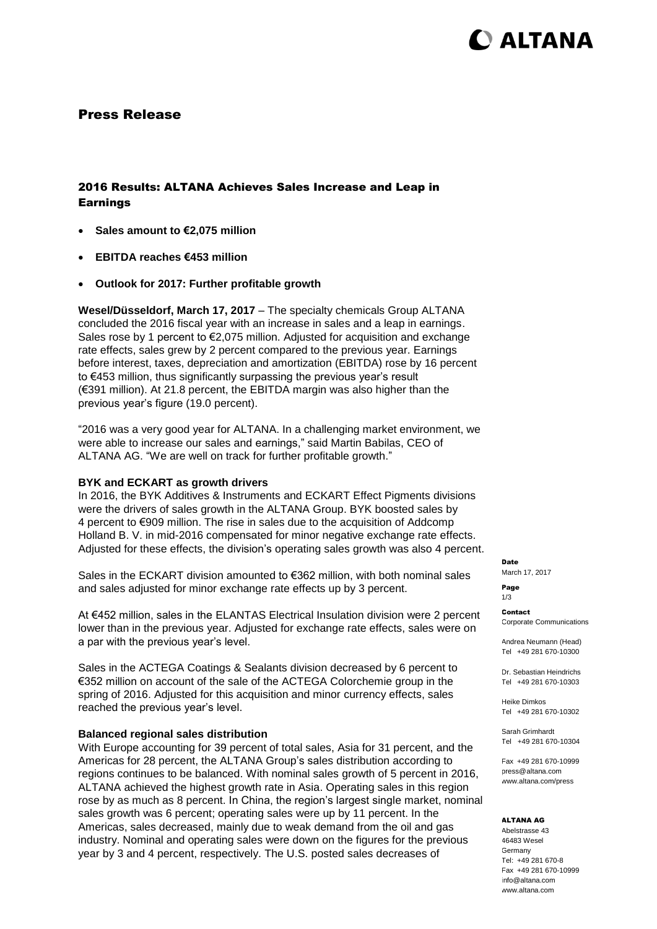# **D** ALTANA

## Press Release

## 2016 Results: ALTANA Achieves Sales Increase and Leap in Earnings

- **Sales amount to €2,075 million**
- **EBITDA reaches €453 million**
- **Outlook for 2017: Further profitable growth**

**Wesel/Düsseldorf, March 17, 2017** – The specialty chemicals Group ALTANA concluded the 2016 fiscal year with an increase in sales and a leap in earnings. Sales rose by 1 percent to  $\epsilon$ 2,075 million. Adjusted for acquisition and exchange rate effects, sales grew by 2 percent compared to the previous year. Earnings before interest, taxes, depreciation and amortization (EBITDA) rose by 16 percent to €453 million, thus significantly surpassing the previous year's result (€391 million). At 21.8 percent, the EBITDA margin was also higher than the previous year's figure (19.0 percent).

"2016 was a very good year for ALTANA. In a challenging market environment, we were able to increase our sales and earnings," said Martin Babilas, CEO of ALTANA AG. "We are well on track for further profitable growth."

### **BYK and ECKART as growth drivers**

In 2016, the BYK Additives & Instruments and ECKART Effect Pigments divisions were the drivers of sales growth in the ALTANA Group. BYK boosted sales by 4 percent to €909 million. The rise in sales due to the acquisition of Addcomp Holland B. V. in mid-2016 compensated for minor negative exchange rate effects. Adjusted for these effects, the division's operating sales growth was also 4 percent.

Sales in the ECKART division amounted to €362 million, with both nominal sales and sales adjusted for minor exchange rate effects up by 3 percent.

At €452 million, sales in the ELANTAS Electrical Insulation division were 2 percent lower than in the previous year. Adjusted for exchange rate effects, sales were on a par with the previous year's level.

Sales in the ACTEGA Coatings & Sealants division decreased by 6 percent to €352 million on account of the sale of the ACTEGA Colorchemie group in the spring of 2016. Adjusted for this acquisition and minor currency effects, sales reached the previous year's level.

### **Balanced regional sales distribution**

With Europe accounting for 39 percent of total sales, Asia for 31 percent, and the Americas for 28 percent, the ALTANA Group's sales distribution according to regions continues to be balanced. With nominal sales growth of 5 percent in 2016, ALTANA achieved the highest growth rate in Asia. Operating sales in this region rose by as much as 8 percent. In China, the region's largest single market, nominal sales growth was 6 percent; operating sales were up by 11 percent. In the Americas, sales decreased, mainly due to weak demand from the oil and gas industry. Nominal and operating sales were down on the figures for the previous year by 3 and 4 percent, respectively. The U.S. posted sales decreases of

Date March 17, 2017

Page 1/3

#### Contact Corporate Communications

Andrea Neumann (Head) Tel +49 281 670-10300

Dr. Sebastian Heindrichs Tel +49 281 670-10303

Heike Dimkos Tel +49 281 670-10302

Sarah Grimhardt Tel +49 281 670-10304

Fax +49 281 670-10999 press@altana.com www.altana.com/press

### ALTANA AG

Abelstrasse 43 46483 Wesel Germany Tel: +49 281 670-8 Fax +49 281 670-10999 info@altana.com www.altana.com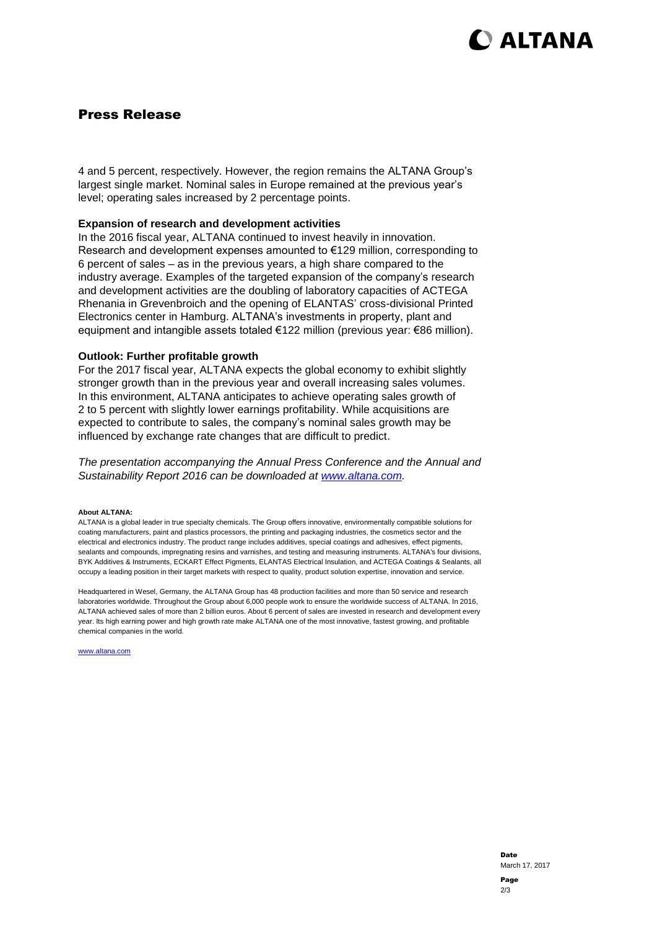# **D** ALTANA

## Press Release

4 and 5 percent, respectively. However, the region remains the ALTANA Group's largest single market. Nominal sales in Europe remained at the previous year's level; operating sales increased by 2 percentage points.

### **Expansion of research and development activities**

In the 2016 fiscal year, ALTANA continued to invest heavily in innovation. Research and development expenses amounted to €129 million, corresponding to 6 percent of sales – as in the previous years, a high share compared to the industry average. Examples of the targeted expansion of the company's research and development activities are the doubling of laboratory capacities of ACTEGA Rhenania in Grevenbroich and the opening of ELANTAS' cross-divisional Printed Electronics center in Hamburg. ALTANA's investments in property, plant and equipment and intangible assets totaled €122 million (previous year: €86 million).

### **Outlook: Further profitable growth**

For the 2017 fiscal year, ALTANA expects the global economy to exhibit slightly stronger growth than in the previous year and overall increasing sales volumes. In this environment, ALTANA anticipates to achieve operating sales growth of 2 to 5 percent with slightly lower earnings profitability. While acquisitions are expected to contribute to sales, the company's nominal sales growth may be influenced by exchange rate changes that are difficult to predict.

*The presentation accompanying the Annual Press Conference and the Annual and Sustainability Report 2016 can be downloaded at [www.altana.com.](http://www.altana.com/)*

#### **About ALTANA:**

ALTANA is a global leader in true specialty chemicals. The Group offers innovative, environmentally compatible solutions for coating manufacturers, paint and plastics processors, the printing and packaging industries, the cosmetics sector and the electrical and electronics industry. The product range includes additives, special coatings and adhesives, effect pigments, sealants and compounds, impregnating resins and varnishes, and testing and measuring instruments. ALTANA's four divisions, BYK Additives & Instruments, ECKART Effect Pigments, ELANTAS Electrical Insulation, and ACTEGA Coatings & Sealants, all occupy a leading position in their target markets with respect to quality, product solution expertise, innovation and service.

Headquartered in Wesel, Germany, the ALTANA Group has 48 production facilities and more than 50 service and research laboratories worldwide. Throughout the Group about 6,000 people work to ensure the worldwide success of ALTANA. In 2016, ALTANA achieved sales of more than 2 billion euros. About 6 percent of sales are invested in research and development every year. Its high earning power and high growth rate make ALTANA one of the most innovative, fastest growing, and profitable chemical companies in the world.

[www.altana.com](http://www.altana.com/)

Date March 17, 2017